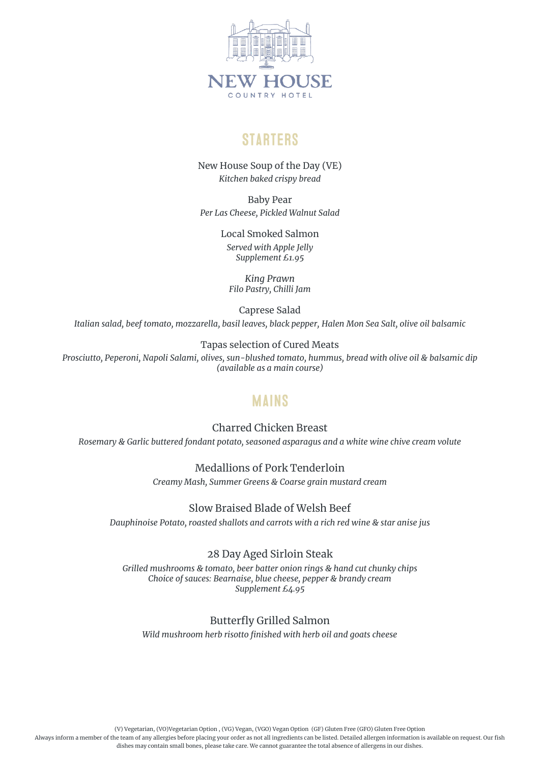

## **STARTERS**

New House Soup of the Day (VE) *Kitchen baked crispy bread*

Baby Pear *Per Las Cheese, Pickled Walnut Salad*

> Local Smoked Salmon *Served with Apple Jelly Supplement £1.95*

*King Prawn Filo Pastry, Chilli Jam* 

Caprese Salad *Italian salad, beef tomato, mozzarella, basil leaves, black pepper, Halen Mon Sea Salt, olive oil balsamic*

Tapas selection of Cured Meats

*Prosciutto, Peperoni, Napoli Salami, olives, sun-blushed tomato, hummus, bread with olive oil & balsamic dip (available as a main course)*

## **MAINS**

Charred Chicken Breast

*Rosemary & Garlic buttered fondant potato, seasoned asparagus and a white wine chive cream volute*

Medallions of Pork Tenderloin

*Creamy Mash, Summer Greens & Coarse grain mustard cream*

### Slow Braised Blade of Welsh Beef

*Dauphinoise Potato, roasted shallots and carrots with a rich red wine & star anise jus*

28 Day Aged Sirloin Steak

*Grilled mushrooms & tomato, beer batter onion rings & hand cut chunky chips Choice of sauces: Bearnaise, blue cheese, pepper & brandy cream Supplement £4.95*

Butterfly Grilled Salmon *Wild mushroom herb risotto finished with herb oil and goats cheese*